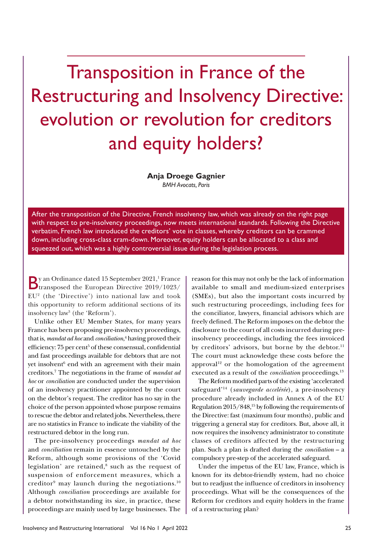Transposition in France of the Restructuring and Insolvency Directive: evolution or revolution for creditors and equity holders?

> **Anja Droege Gagnier**  *BMH Avocats, Paris*

After the transposition of the Directive, French insolvency law, which was already on the right page with respect to pre-insolvency proceedings, now meets international standards. Following the Directive verbatim, French law introduced the creditors' vote in classes, whereby creditors can be crammed down, including cross-class cram-down. Moreover, equity holders can be allocated to a class and squeezed out, which was a highly controversial issue during the legislation process.

By an Ordinance dated 15 September 2021,<sup>1</sup> France<br>dramsposed the European Directive 2019/1023/ y an Ordinance dated 15 September 2021,<sup>1</sup> France  $EU<sup>2</sup>$  (the 'Directive') into national law and took this opportunity to reform additional sections of its insolvency law3 (the 'Reform').

Unlike other EU Member States, for many years France has been proposing pre-insolvency proceedings, that is, *mandat ad hoc* and *conciliation*, 4 having proved their efficiency: 75 per cent<sup>5</sup> of these consensual, confidential and fast proceedings available for debtors that are not yet insolvent<sup>6</sup> end with an agreement with their main creditors.7 The negotiations in the frame of *mandat ad hoc* or *conciliation* are conducted under the supervision of an insolvency practitioner appointed by the court on the debtor's request. The creditor has no say in the choice of the person appointed whose purpose remains to rescue the debtor and related jobs. Nevertheless, there are no statistics in France to indicate the viability of the restructured debtor in the long run.

The pre-insolvency proceedings *mandat ad hoc* and *conciliation* remain in essence untouched by the Reform, although some provisions of the 'Covid legislation' are retained,<sup>8</sup> such as the request of suspension of enforcement measures, which a creditor<sup>9</sup> may launch during the negotiations.<sup>10</sup> Although *conciliation* proceedings are available for a debtor notwithstanding its size, in practice, these proceedings are mainly used by large businesses. The

reason for this may not only be the lack of information available to small and medium-sized enterprises (SMEs), but also the important costs incurred by such restructuring proceedings, including fees for the conciliator, lawyers, financial advisors which are freely defined. The Reform imposes on the debtor the disclosure to the court of all costs incurred during preinsolvency proceedings, including the fees invoiced by creditors' advisors, but borne by the debtor.<sup>11</sup> The court must acknowledge these costs before the approval<sup>12</sup> or the homologation of the agreement executed as a result of the *conciliation* proceedings.<sup>13</sup>

The Reform modified parts of the existing 'accelerated safeguard'14 (*sauvegarde accelérée*), a pre-insolvency procedure already included in Annex A of the EU Regulation 2015/848,15 by following the requirements of the Directive: fast (maximum four months), public and triggering a general stay for creditors. But, above all, it now requires the insolvency administrator to constitute classes of creditors affected by the restructuring plan. Such a plan is drafted during the *conciliation* – a compulsory pre-step of the accelerated safeguard.

Under the impetus of the EU law, France, which is known for its debtor-friendly system, had no choice but to readjust the influence of creditors in insolvency proceedings. What will be the consequences of the Reform for creditors and equity holders in the frame of a restructuring plan?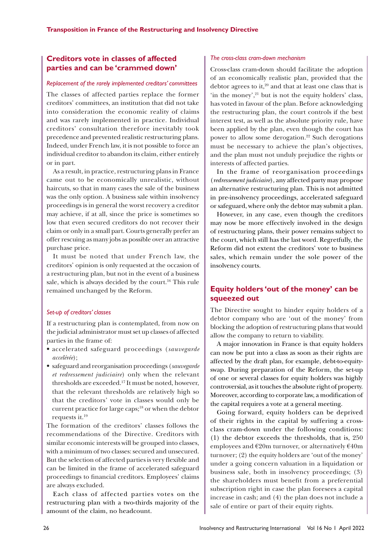## **Creditors vote in classes of affected parties and can be 'crammed down'**

### *Replacement of the rarely implemented creditors' committees*

The classes of affected parties replace the former creditors' committees, an institution that did not take into consideration the economic reality of claims and was rarely implemented in practice. Individual creditors' consultation therefore inevitably took precedence and prevented realistic restructuring plans. Indeed, under French law, it is not possible to force an individual creditor to abandon its claim, either entirely or in part.

As a result, in practice, restructuring plans in France came out to be economically unrealistic, without haircuts, so that in many cases the sale of the business was the only option. A business sale within insolvency proceedings is in general the worst recovery a creditor may achieve, if at all, since the price is sometimes so low that even secured creditors do not recover their claim or only in a small part. Courts generally prefer an offer rescuing as many jobs as possible over an attractive purchase price.

It must be noted that under French law, the creditors' opinion is only requested at the occasion of a restructuring plan, but not in the event of a business sale, which is always decided by the court.<sup>16</sup> This rule remained unchanged by the Reform.

### *Set-up of creditors' classes*

If a restructuring plan is contemplated, from now on the judicial administrator must set up classes of affected parties in the frame of:

- accelerated safeguard proceedings (*sauvegarde accelérée*);
- safeguard and reorganisation proceedings (*sauvegarde et redressement judiciaire*) only when the relevant thresholds are exceeded.17 It must be noted, however, that the relevant thresholds are relatively high so that the creditors' vote in classes would only be current practice for large caps;<sup>18</sup> or when the debtor requests it.19

The formation of the creditors' classes follows the recommendations of the Directive. Creditors with similar economic interests will be grouped into classes, with a minimum of two classes: secured and unsecured. But the selection of affected parties is very flexible and can be limited in the frame of accelerated safeguard proceedings to financial creditors. Employees' claims are always excluded.

Each class of affected parties votes on the restructuring plan with a two-thirds majority of the amount of the claim, no headcount.

#### *The cross-class cram-down mechanism*

Cross-class cram-down should facilitate the adoption of an economically realistic plan, provided that the debtor agrees to it, $20$  and that at least one class that is 'in the money', $21$  but is not the equity holders' class, has voted in favour of the plan. Before acknowledging the restructuring plan, the court controls if the best interest test, as well as the absolute priority rule, have been applied by the plan, even though the court has power to allow some derogation.<sup>22</sup> Such derogations must be necessary to achieve the plan's objectives, and the plan must not unduly prejudice the rights or interests of affected parties.

In the frame of reorganisation proceedings (*redressement judiciaire*), any affected party may propose an alternative restructuring plan. This is not admitted in pre-insolvency proceedings, accelerated safeguard or safeguard, where only the debtor may submit a plan.

However, in any case, even though the creditors may now be more effectively involved in the design of restructuring plans, their power remains subject to the court, which still has the last word. Regretfully, the Reform did not extent the creditors' vote to business sales, which remain under the sole power of the insolvency courts.

# **Equity holders 'out of the money' can be squeezed out**

The Directive sought to hinder equity holders of a debtor company who are 'out of the money' from blocking the adoption of restructuring plans that would allow the company to return to viability.

A major innovation in France is that equity holders can now be put into a class as soon as their rights are affected by the draft plan, for example, debt-to-equityswap. During preparation of the Reform, the set-up of one or several classes for equity holders was highly controversial, as it touches the absolute right of property. Moreover, according to corporate law, a modification of the capital requires a vote at a general meeting.

Going forward, equity holders can be deprived of their rights in the capital by suffering a crossclass cram-down under the following conditions: (1) the debtor exceeds the thresholds, that is, 250 employees and  $\epsilon$ 20m turnover, or alternatively  $\epsilon$ 40m turnover; (2) the equity holders are 'out of the money' under a going concern valuation in a liquidation or business sale, both in insolvency proceedings; (3) the shareholders must benefit from a preferential subscription right in case the plan foresees a capital increase in cash; and (4) the plan does not include a sale of entire or part of their equity rights.